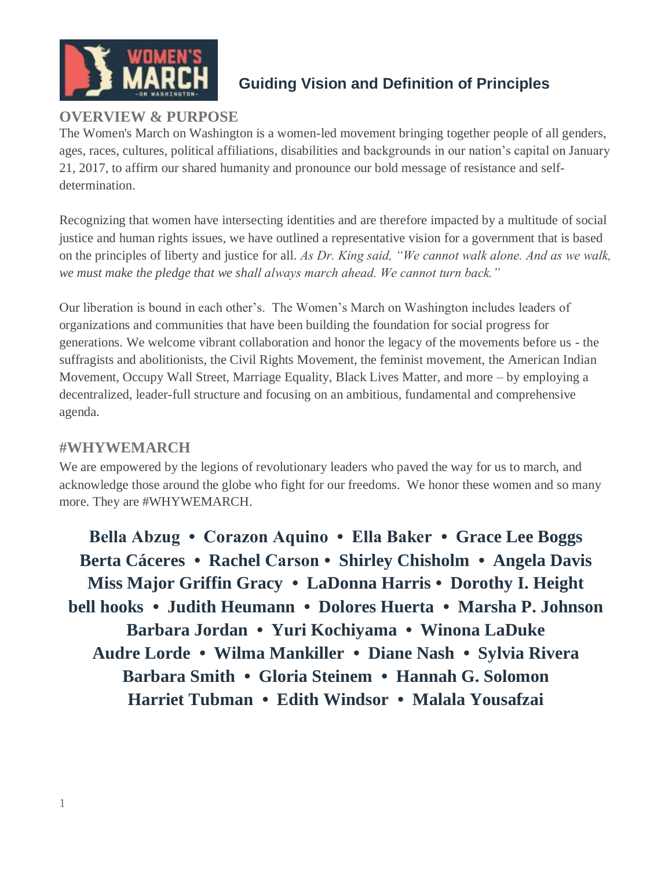

### **OVERVIEW & PURPOSE**

The Women's March on Washington is a women-led movement bringing together people of all genders, ages, races, cultures, political affiliations, disabilities and backgrounds in our nation's capital on January 21, 2017, to affirm our shared humanity and pronounce our bold message of resistance and selfdetermination.

Recognizing that women have intersecting identities and are therefore impacted by a multitude of social justice and human rights issues, we have outlined a representative vision for a government that is based on the principles of liberty and justice for all. *As Dr. King said, "We cannot walk alone. And as we walk, we must make the pledge that we shall always march ahead. We cannot turn back."*

Our liberation is bound in each other's. The Women's March on Washington includes leaders of organizations and communities that have been building the foundation for social progress for generations. We welcome vibrant collaboration and honor the legacy of the movements before us - the suffragists and abolitionists, the Civil Rights Movement, the feminist movement, the American Indian Movement, Occupy Wall Street, Marriage Equality, Black Lives Matter, and more – by employing a decentralized, leader-full structure and focusing on an ambitious, fundamental and comprehensive agenda.

#### **#WHYWEMARCH**

We are empowered by the legions of revolutionary leaders who paved the way for us to march, and acknowledge those around the globe who fight for our freedoms. We honor these women and so many more. They are #WHYWEMARCH.

**Bella Abzug • Corazon Aquino • Ella Baker • Grace Lee Boggs Berta Cáceres • Rachel Carson • Shirley Chisholm • Angela Davis Miss Major Griffin Gracy • LaDonna Harris • Dorothy I. Height bell hooks • Judith Heumann • Dolores Huerta • Marsha P. Johnson Barbara Jordan • Yuri Kochiyama • Winona LaDuke Audre Lorde • Wilma Mankiller • Diane Nash • Sylvia Rivera Barbara Smith • Gloria Steinem • Hannah G. Solomon Harriet Tubman • Edith Windsor • Malala Yousafzai**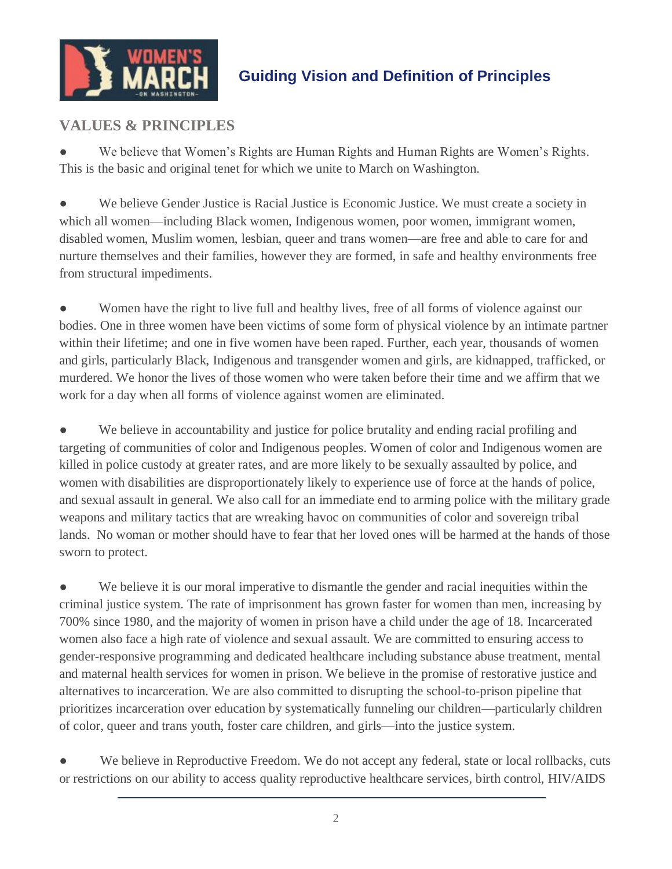

### **VALUES & PRINCIPLES**

We believe that Women's Rights are Human Rights and Human Rights are Women's Rights. This is the basic and original tenet for which we unite to March on Washington.

We believe Gender Justice is Racial Justice is Economic Justice. We must create a society in which all women—including Black women, Indigenous women, poor women, immigrant women, disabled women, Muslim women, lesbian, queer and trans women—are free and able to care for and nurture themselves and their families, however they are formed, in safe and healthy environments free from structural impediments.

● Women have the right to live full and healthy lives, free of all forms of violence against our bodies. One in three women have been victims of some form of physical violence by an intimate partner within their lifetime; and one in five women have been raped. Further, each year, thousands of women and girls, particularly Black, Indigenous and transgender women and girls, are kidnapped, trafficked, or murdered. We honor the lives of those women who were taken before their time and we affirm that we work for a day when all forms of violence against women are eliminated.

We believe in accountability and justice for police brutality and ending racial profiling and targeting of communities of color and Indigenous peoples. Women of color and Indigenous women are killed in police custody at greater rates, and are more likely to be sexually assaulted by police, and women with disabilities are disproportionately likely to experience use of force at the hands of police, and sexual assault in general. We also call for an immediate end to arming police with the military grade weapons and military tactics that are wreaking havoc on communities of color and sovereign tribal lands. No woman or mother should have to fear that her loved ones will be harmed at the hands of those sworn to protect.

● We believe it is our moral imperative to dismantle the gender and racial inequities within the criminal justice system. The rate of imprisonment has grown faster for women than men, increasing by 700% since 1980, and the majority of women in prison have a child under the age of 18. Incarcerated women also face a high rate of violence and sexual assault. We are committed to ensuring access to gender-responsive programming and dedicated healthcare including substance abuse treatment, mental and maternal health services for women in prison. We believe in the promise of restorative justice and alternatives to incarceration. We are also committed to disrupting the school-to-prison pipeline that prioritizes incarceration over education by systematically funneling our children—particularly children of color, queer and trans youth, foster care children, and girls—into the justice system.

We believe in Reproductive Freedom. We do not accept any federal, state or local rollbacks, cuts or restrictions on our ability to access quality reproductive healthcare services, birth control, HIV/AIDS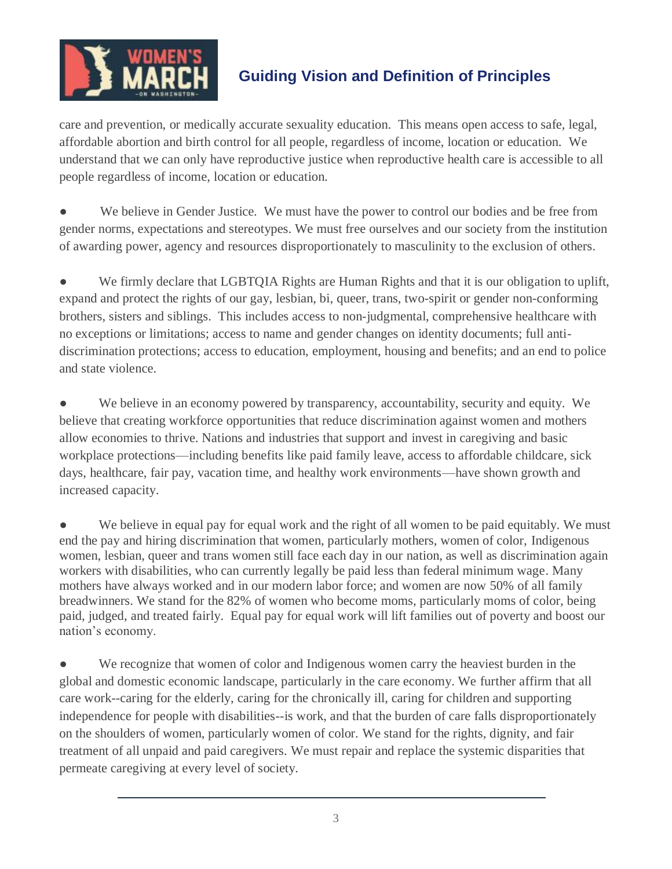

care and prevention, or medically accurate sexuality education. This means open access to safe, legal, affordable abortion and birth control for all people, regardless of income, location or education. We understand that we can only have reproductive justice when reproductive health care is accessible to all people regardless of income, location or education.

We believe in Gender Justice. We must have the power to control our bodies and be free from gender norms, expectations and stereotypes. We must free ourselves and our society from the institution of awarding power, agency and resources disproportionately to masculinity to the exclusion of others.

We firmly declare that LGBTQIA Rights are Human Rights and that it is our obligation to uplift, expand and protect the rights of our gay, lesbian, bi, queer, trans, two-spirit or gender non-conforming brothers, sisters and siblings. This includes access to non-judgmental, comprehensive healthcare with no exceptions or limitations; access to name and gender changes on identity documents; full antidiscrimination protections; access to education, employment, housing and benefits; and an end to police and state violence.

● We believe in an economy powered by transparency, accountability, security and equity. We believe that creating workforce opportunities that reduce discrimination against women and mothers allow economies to thrive. Nations and industries that support and invest in caregiving and basic workplace protections—including benefits like paid family leave, access to affordable childcare, sick days, healthcare, fair pay, vacation time, and healthy work environments—have shown growth and increased capacity.

We believe in equal pay for equal work and the right of all women to be paid equitably. We must end the pay and hiring discrimination that women, particularly mothers, women of color, Indigenous women, lesbian, queer and trans women still face each day in our nation, as well as discrimination again workers with disabilities, who can currently legally be paid less than federal minimum wage. Many mothers have always worked and in our modern labor force; and women are now 50% of all family breadwinners. We stand for the 82% of women who become moms, particularly moms of color, being paid, judged, and treated fairly. Equal pay for equal work will lift families out of poverty and boost our nation's economy.

We recognize that women of color and Indigenous women carry the heaviest burden in the global and domestic economic landscape, particularly in the care economy. We further affirm that all care work--caring for the elderly, caring for the chronically ill, caring for children and supporting independence for people with disabilities--is work, and that the burden of care falls disproportionately on the shoulders of women, particularly women of color. We stand for the rights, dignity, and fair treatment of all unpaid and paid caregivers. We must repair and replace the systemic disparities that permeate caregiving at every level of society.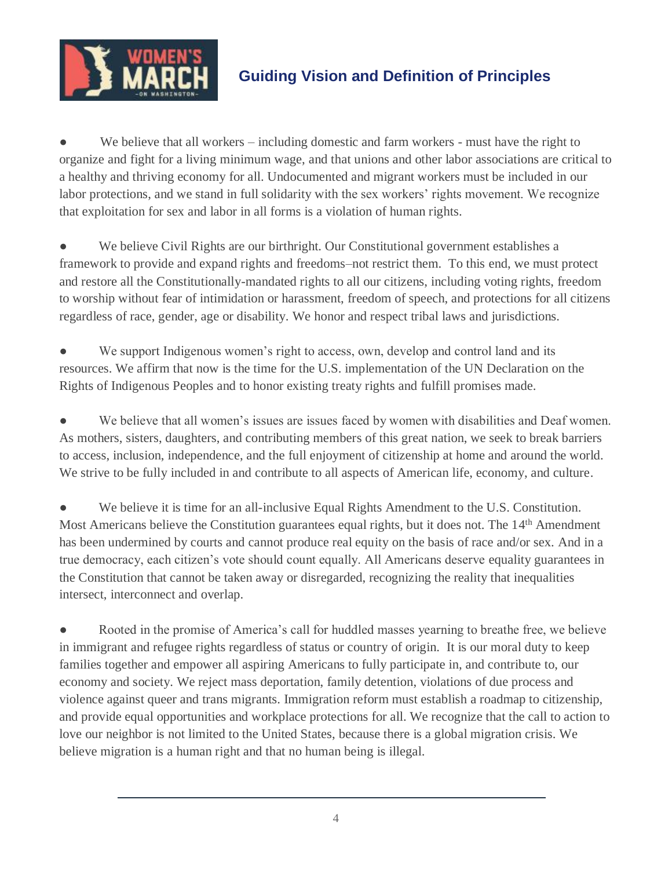

We believe that all workers – including domestic and farm workers - must have the right to organize and fight for a living minimum wage, and that unions and other labor associations are critical to a healthy and thriving economy for all. Undocumented and migrant workers must be included in our labor protections, and we stand in full solidarity with the sex workers' rights movement. We recognize that exploitation for sex and labor in all forms is a violation of human rights.

We believe Civil Rights are our birthright. Our Constitutional government establishes a framework to provide and expand rights and freedoms–not restrict them. To this end, we must protect and restore all the Constitutionally-mandated rights to all our citizens, including voting rights, freedom to worship without fear of intimidation or harassment, freedom of speech, and protections for all citizens regardless of race, gender, age or disability. We honor and respect tribal laws and jurisdictions.

We support Indigenous women's right to access, own, develop and control land and its resources. We affirm that now is the time for the U.S. implementation of the UN Declaration on the Rights of Indigenous Peoples and to honor existing treaty rights and fulfill promises made.

We believe that all women's issues are issues faced by women with disabilities and Deaf women. As mothers, sisters, daughters, and contributing members of this great nation, we seek to break barriers to access, inclusion, independence, and the full enjoyment of citizenship at home and around the world. We strive to be fully included in and contribute to all aspects of American life, economy, and culture.

We believe it is time for an all-inclusive Equal Rights Amendment to the U.S. Constitution. Most Americans believe the Constitution guarantees equal rights, but it does not. The 14<sup>th</sup> Amendment has been undermined by courts and cannot produce real equity on the basis of race and/or sex. And in a true democracy, each citizen's vote should count equally. All Americans deserve equality guarantees in the Constitution that cannot be taken away or disregarded, recognizing the reality that inequalities intersect, interconnect and overlap.

• Rooted in the promise of America's call for huddled masses yearning to breathe free, we believe in immigrant and refugee rights regardless of status or country of origin. It is our moral duty to keep families together and empower all aspiring Americans to fully participate in, and contribute to, our economy and society. We reject mass deportation, family detention, violations of due process and violence against queer and trans migrants. Immigration reform must establish a roadmap to citizenship, and provide equal opportunities and workplace protections for all. We recognize that the call to action to love our neighbor is not limited to the United States, because there is a global migration crisis. We believe migration is a human right and that no human being is illegal.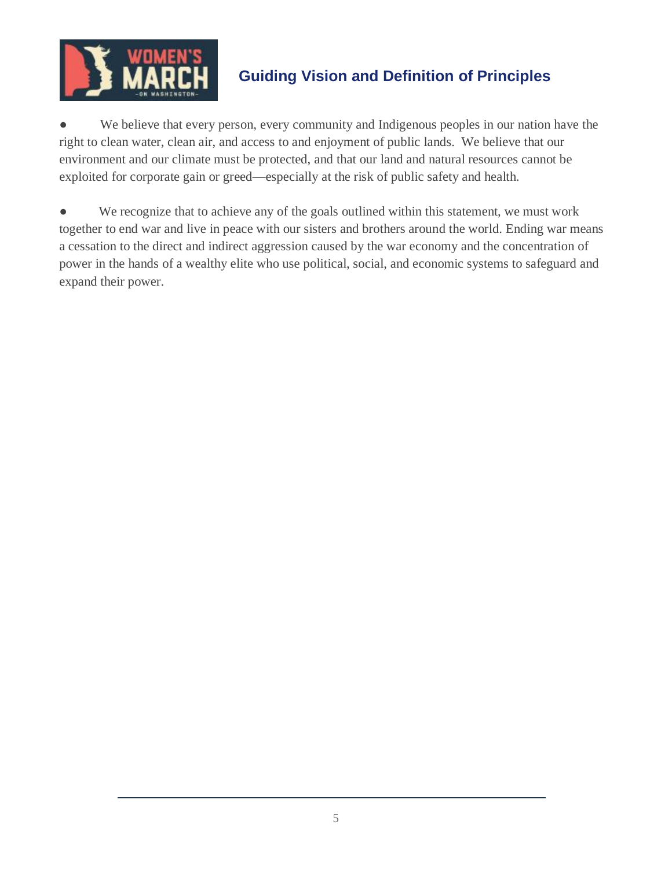

We believe that every person, every community and Indigenous peoples in our nation have the right to clean water, clean air, and access to and enjoyment of public lands. We believe that our environment and our climate must be protected, and that our land and natural resources cannot be exploited for corporate gain or greed—especially at the risk of public safety and health.

We recognize that to achieve any of the goals outlined within this statement, we must work together to end war and live in peace with our sisters and brothers around the world. Ending war means a cessation to the direct and indirect aggression caused by the war economy and the concentration of power in the hands of a wealthy elite who use political, social, and economic systems to safeguard and expand their power.